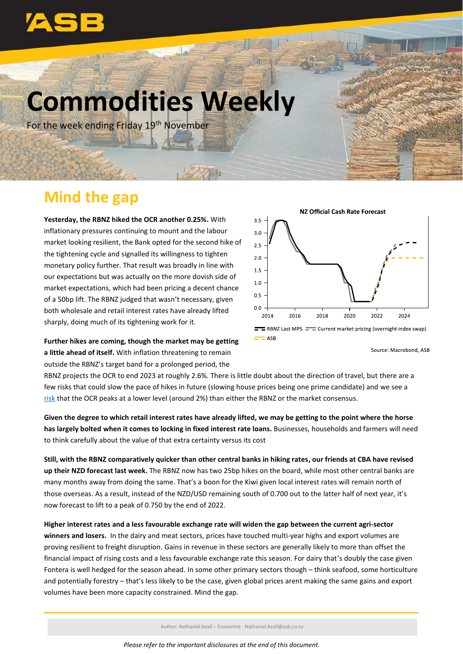

# **Commodities Weekly**

For the week ending Friday 19<sup>th</sup> November

# **Mind the gap**

**Yesterday, the RBNZ hiked the OCR another 0.25%.** With inflationary pressures continuing to mount and the labour market looking resilient, the Bank opted for the second hike of the tightening cycle and signalled its willingness to tighten monetary policy further. That result was broadly in line with our expectations but was actually on the more dovish side of market expectations, which had been pricing a decent chance of a 50bp lift. The RBNZ judged that wasn't necessary, given both wholesale and retail interest rates have already lifted sharply, doing much of its tightening work for it.

**Further hikes are coming, though the market may be getting a little ahead of itself.** With inflation threatening to remain outside the RBNZ's target band for a prolonged period, the



Source: Macrobond, ASB

RBNZ projects the OCR to end 2023 at roughly 2.6%. There is little doubt about the direction of travel, but there are a few risks that could slow the pace of hikes in future (slowing house prices being one prime candidate) and we see a [risk](https://www.asb.co.nz/content/dam/asb/documents/reports/economic-note/rbnz-mps-nov21.pdf) that the OCR peaks at a lower level (around 2%) than either the RBNZ or the market consensus.

**Given the degree to which retail interest rates have already lifted, we may be getting to the point where the horse has largely bolted when it comes to locking in fixed interest rate loans.** Businesses, households and farmers will need to think carefully about the value of that extra certainty versus its cost

**Still, with the RBNZ comparatively quicker than other central banks in hiking rates, our friends at CBA have revised up their NZD forecast last week.** The RBNZ now has two 25bp hikes on the board, while most other central banks are many months away from doing the same. That's a boon for the Kiwi given local interest rates will remain north of those overseas. As a result, instead of the NZD/USD remaining south of 0.700 out to the latter half of next year, it's now forecast to lift to a peak of 0.750 by the end of 2022.

**Higher interest rates and a less favourable exchange rate will widen the gap between the current agri-sector winners and losers.** In the dairy and meat sectors, prices have touched multi-year highs and export volumes are proving resilient to freight disruption. Gains in revenue in these sectors are generally likely to more than offset the financial impact of rising costs and a less favourable exchange rate this season. For dairy that's doubly the case given Fontera is well hedged for the season ahead. In some other primary sectors though – think seafood, some horticulture and potentially forestry – that's less likely to be the case, given global prices arent making the same gains and export volumes have been more capacity constrained. Mind the gap.

Author: Nathaniel Keall – Economist - Nathaniel.Keall@asb.co.nz

*Please refer to the important disclosures at the end of this document.*